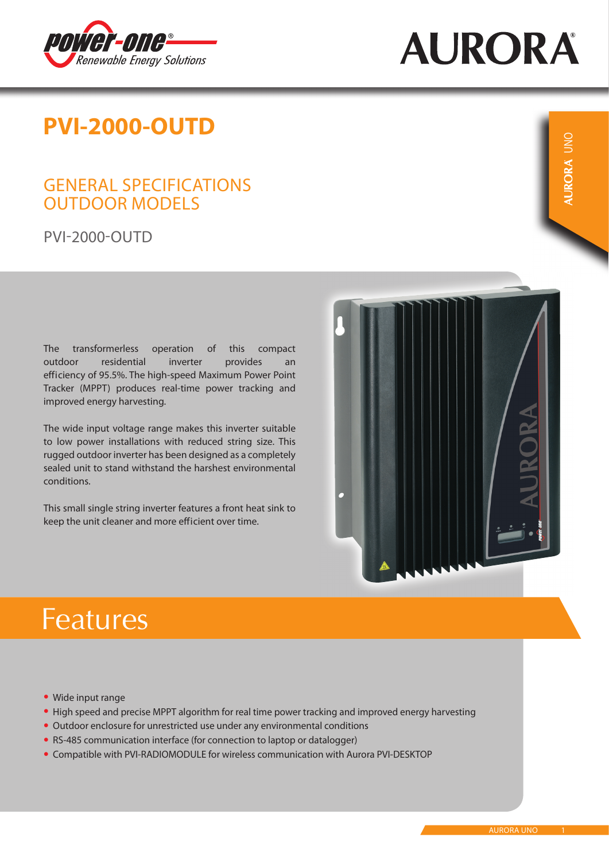

# **AURORA**

### **PVI-2000-OUTD**

#### GENERAL SPECIFICATIONS OUTDOOR MODELS

PVI-2000-OUTD

The transformerless operation of this compact outdoor residential inverter provides an efficiency of 95.5%. The high-speed Maximum Power Point Tracker (MPPT) produces real-time power tracking and improved energy harvesting.

The wide input voltage range makes this inverter suitable to low power installations with reduced string size. This rugged outdoor inverter has been designed as a completely sealed unit to stand withstand the harshest environmental conditions.

This small single string inverter features a front heat sink to keep the unit cleaner and more efficient over time.





# **Features**

- Wide input range •
- High speed and precise MPPT algorithm for real time power tracking and improved energy harvesting
- Outdoor enclosure for unrestricted use under any environmental conditions
- RS-485 communication interface (for connection to laptop or datalogger)
- Compatible with PVI-RADIOMODULE for wireless communication with Aurora PVI-DESKTOP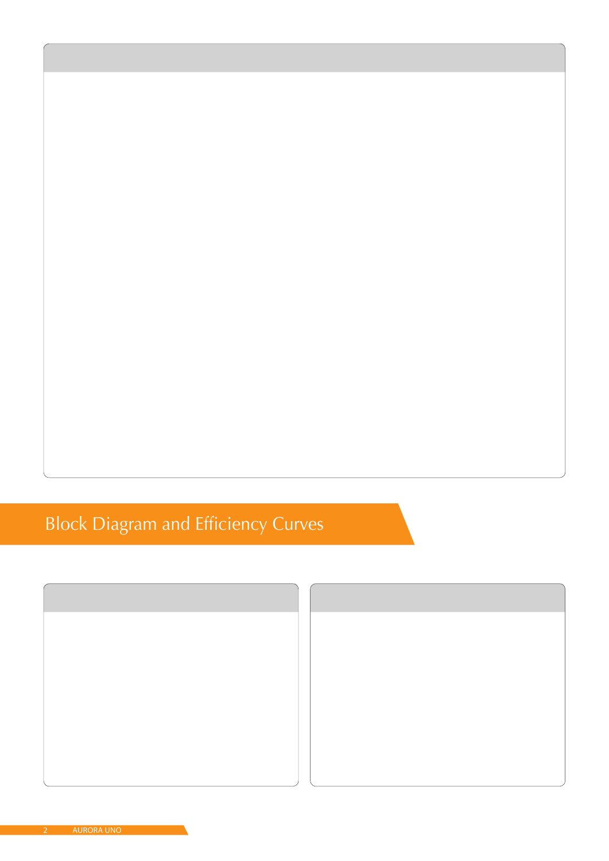## **Block Diagram and Efficiency Curves**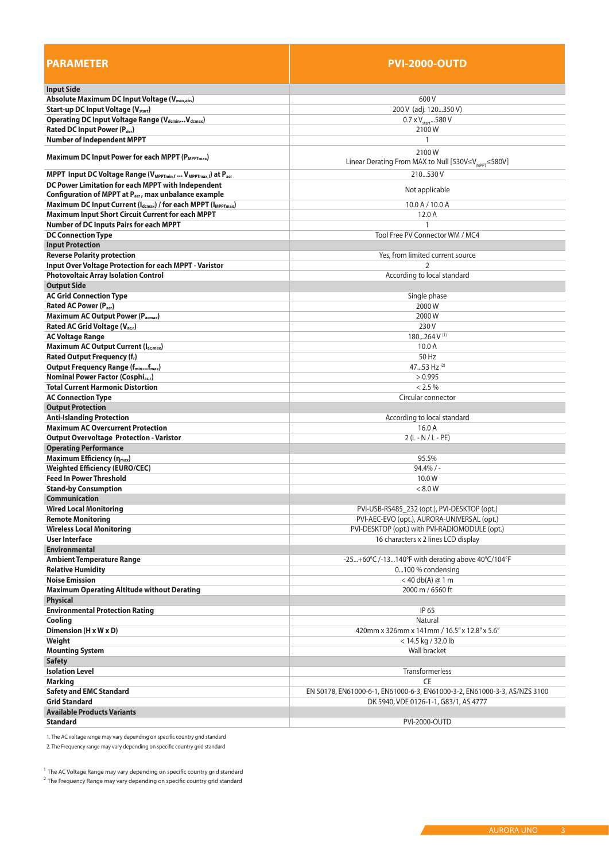| <b>PARAMETER</b>                                                                                 | <b>PVI-2000-OUTD</b>                                                      |  |  |
|--------------------------------------------------------------------------------------------------|---------------------------------------------------------------------------|--|--|
| <b>Input Side</b>                                                                                |                                                                           |  |  |
| Absolute Maximum DC Input Voltage (V <sub>max,abs</sub> )                                        | 600 V                                                                     |  |  |
| <b>Start-up DC Input Voltage (Vstart)</b>                                                        | 200 V (adj. 120350 V)                                                     |  |  |
| Operating DC Input Voltage Range (VdcminVdcmax)                                                  | $0.7 \times V_{\text{start}}$ 580 V                                       |  |  |
| Rated DC Input Power (Pdcr)                                                                      | 2100W                                                                     |  |  |
| <b>Number of Independent MPPT</b>                                                                | 1                                                                         |  |  |
| Maximum DC Input Power for each MPPT (P <sub>MPPTmax</sub> )                                     | 2100W<br>Linear Derating From MAX to Null [530V≤V <sub>MPPT</sub> ≤580V]  |  |  |
| MPPT Input DC Voltage Range (V <sub>MPPTmin,f</sub> V <sub>MPPTmax,f</sub> ) at P <sub>acr</sub> | 210530V                                                                   |  |  |
| DC Power Limitation for each MPPT with Independent                                               |                                                                           |  |  |
| Configuration of MPPT at Pacr, max unbalance example                                             | Not applicable                                                            |  |  |
| Maximum DC Input Current (I <sub>dcmax</sub> ) / for each MPPT (I <sub>MPPTmax</sub> )           | $10.0$ A $/$ 10.0 A                                                       |  |  |
| Maximum Input Short Circuit Current for each MPPT                                                | 12.0 A                                                                    |  |  |
| <b>Number of DC Inputs Pairs for each MPPT</b>                                                   | 1                                                                         |  |  |
| <b>DC Connection Type</b>                                                                        | Tool Free PV Connector WM / MC4                                           |  |  |
| <b>Input Protection</b>                                                                          |                                                                           |  |  |
| <b>Reverse Polarity protection</b>                                                               | Yes, from limited current source                                          |  |  |
| <b>Input Over Voltage Protection for each MPPT - Varistor</b>                                    |                                                                           |  |  |
| <b>Photovoltaic Array Isolation Control</b>                                                      | According to local standard                                               |  |  |
| <b>Output Side</b>                                                                               |                                                                           |  |  |
| <b>AC Grid Connection Type</b>                                                                   | Single phase                                                              |  |  |
| Rated AC Power (Pacr)                                                                            | 2000W                                                                     |  |  |
| <b>Maximum AC Output Power (Pacmax)</b>                                                          | 2000W                                                                     |  |  |
| Rated AC Grid Voltage (V <sub>acr</sub> )                                                        | 230 V                                                                     |  |  |
| <b>AC Voltage Range</b>                                                                          | $180264$ V <sup>(1)</sup>                                                 |  |  |
| Maximum AC Output Current (Iac,max)                                                              | 10.0A                                                                     |  |  |
| Rated Output Frequency (f <sub>r</sub> )                                                         | 50 Hz                                                                     |  |  |
| <b>Output Frequency Range (fminfmax)</b>                                                         | 4753 Hz (2)                                                               |  |  |
| Nominal Power Factor (Cosphi <sub>acr</sub> )                                                    | > 0.995                                                                   |  |  |
| <b>Total Current Harmonic Distortion</b>                                                         | < 2.5 %                                                                   |  |  |
| <b>AC Connection Type</b>                                                                        | Circular connector                                                        |  |  |
| <b>Output Protection</b>                                                                         |                                                                           |  |  |
| <b>Anti-Islanding Protection</b>                                                                 | According to local standard                                               |  |  |
| <b>Maximum AC Overcurrent Protection</b>                                                         | 16.0A                                                                     |  |  |
| <b>Output Overvoltage Protection - Varistor</b><br><b>Operating Performance</b>                  | $2(L - N / L - PE)$                                                       |  |  |
| Maximum Efficiency (η <sub>max</sub> )                                                           | 95.5%                                                                     |  |  |
| <b>Weighted Efficiency (EURO/CEC)</b>                                                            | $94.4\%$ / -                                                              |  |  |
| <b>Feed In Power Threshold</b>                                                                   | 10.0W                                                                     |  |  |
| <b>Stand-by Consumption</b>                                                                      | < 8.0 W                                                                   |  |  |
| <b>Communication</b>                                                                             |                                                                           |  |  |
| <b>Wired Local Monitoring</b>                                                                    | PVI-USB-RS485_232 (opt.), PVI-DESKTOP (opt.)                              |  |  |
| <b>Remote Monitoring</b>                                                                         | PVI-AEC-EVO (opt.), AURORA-UNIVERSAL (opt.)                               |  |  |
| <b>Wireless Local Monitoring</b>                                                                 | PVI-DESKTOP (opt.) with PVI-RADIOMODULE (opt.)                            |  |  |
| <b>User Interface</b>                                                                            | 16 characters x 2 lines LCD display                                       |  |  |
| <b>Environmental</b>                                                                             |                                                                           |  |  |
| <b>Ambient Temperature Range</b>                                                                 | -25+60°C /-13140°F with derating above 40°C/104°F                         |  |  |
| <b>Relative Humidity</b>                                                                         | 0100 % condensing                                                         |  |  |
| <b>Noise Emission</b>                                                                            | $<$ 40 db(A) $@$ 1 m                                                      |  |  |
| <b>Maximum Operating Altitude without Derating</b>                                               | 2000 m / 6560 ft                                                          |  |  |
| <b>Physical</b>                                                                                  |                                                                           |  |  |
| <b>Environmental Protection Rating</b>                                                           | IP 65                                                                     |  |  |
| Cooling                                                                                          | Natural                                                                   |  |  |
| Dimension (H x W x D)                                                                            | 420mm x 326mm x 141mm / 16.5" x 12.8" x 5.6"                              |  |  |
| Weight                                                                                           | < 14.5 kg / 32.0 lb                                                       |  |  |
| <b>Mounting System</b>                                                                           | Wall bracket                                                              |  |  |
| <b>Safety</b>                                                                                    |                                                                           |  |  |
| <b>Isolation Level</b>                                                                           | <b>Transformerless</b>                                                    |  |  |
| Marking                                                                                          | <b>CE</b>                                                                 |  |  |
| <b>Safety and EMC Standard</b><br><b>Grid Standard</b>                                           | EN 50178, EN61000-6-1, EN61000-6-3, EN61000-3-2, EN61000-3-3, AS/NZS 3100 |  |  |
| <b>Available Products Variants</b>                                                               | DK 5940, VDE 0126-1-1, G83/1, AS 4777                                     |  |  |
| <b>Standard</b>                                                                                  | PVI-2000-OUTD                                                             |  |  |
|                                                                                                  |                                                                           |  |  |

1. The AC voltage range may vary depending on specific country grid standard

2. The Frequency range may vary depending on specific country grid standard

 $1$  The AC Voltage Range may vary depending on specific country grid standard

<sup>2</sup> The Frequency Range may vary depending on specific country grid standard